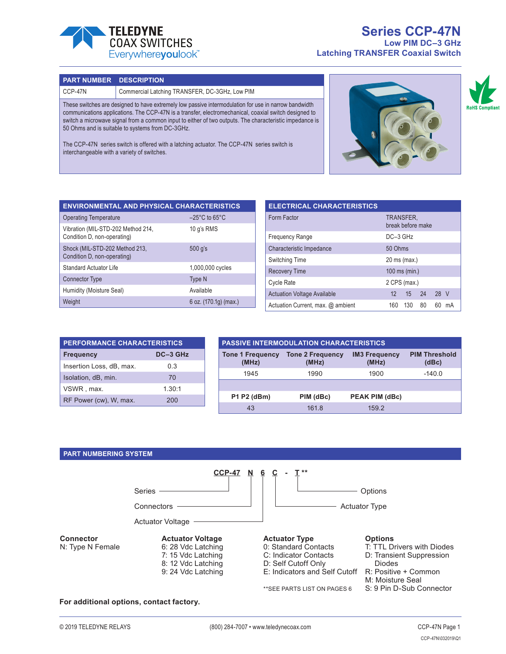

# **Series CCP-47N Low PIM DC–3 GHz Latching TRANSFER Coaxial Switch**

#### **PART NUMBER DESCRIPTION**

#### CCP-47N Commercial Latching TRANSFER, DC-3GHz, Low PIM

These switches are designed to have extremely low passive intermodulation for use in narrow bandwidth communications applications. The CCP-47N is a transfer, electromechanical, coaxial switch designed to switch a microwave signal from a common input to either of two outputs. The characteristic impedance is 50 Ohms and is suitable to systems from DC-3GHz.

The CCP-47N series switch is offered with a latching actuator. The CCP-47N series switch is interchangeable with a variety of switches.



**RoHS Compli** 

| <b>ENVIRONMENTAL AND PHYSICAL CHARACTERISTICS</b>                 |                                    |  |  |  |  |
|-------------------------------------------------------------------|------------------------------------|--|--|--|--|
| <b>Operating Temperature</b>                                      | $-25^{\circ}$ C to 65 $^{\circ}$ C |  |  |  |  |
| Vibration (MIL-STD-202 Method 214,<br>Condition D, non-operating) | 10 g's RMS                         |  |  |  |  |
| Shock (MIL-STD-202 Method 213,<br>Condition D, non-operating)     | 500 q's                            |  |  |  |  |
| <b>Standard Actuator Life</b>                                     | 1,000,000 cycles                   |  |  |  |  |
| <b>Connector Type</b>                                             | <b>Type N</b>                      |  |  |  |  |
| Humidity (Moisture Seal)                                          | Available                          |  |  |  |  |
| Weight                                                            | 6 oz. $(170.1q)$ (max.)            |  |  |  |  |

| <b>ELECTRICAL CHARACTERISTICS</b>   |               |                                |    |      |    |
|-------------------------------------|---------------|--------------------------------|----|------|----|
| Form Factor                         |               | TRANSFER.<br>break before make |    |      |    |
| <b>Frequency Range</b>              | DC-3 GHz      |                                |    |      |    |
| 50 Ohms<br>Characteristic Impedance |               |                                |    |      |    |
| <b>Switching Time</b>               | 20 ms (max.)  |                                |    |      |    |
| <b>Recovery Time</b>                | 100 ms (min.) |                                |    |      |    |
| <b>Cycle Rate</b><br>2 CPS (max.)   |               |                                |    |      |    |
| <b>Actuation Voltage Available</b>  |               | 12 15 24                       |    | 28 V |    |
| Actuation Current, max. @ ambient   | 160           | 130                            | 80 | 60   | mА |

| <b>PERFORMANCE CHARACTERISTICS</b> |     |  |  |  |
|------------------------------------|-----|--|--|--|
| DC-3 GHz<br><b>Frequency</b>       |     |  |  |  |
| Insertion Loss, dB, max.           | 03  |  |  |  |
| Isolation, dB, min.                | 70  |  |  |  |
| 1.30:1<br>VSWR, max.               |     |  |  |  |
| RF Power (cw), W, max.             | 200 |  |  |  |

| <b>PASSIVE INTERMODULATION CHARACTERISTICS</b> |                                  |                               |                               |  |  |  |
|------------------------------------------------|----------------------------------|-------------------------------|-------------------------------|--|--|--|
| <b>Tone 1 Frequency</b><br>(MHz)               | <b>Tone 2 Frequency</b><br>(MHz) | <b>IM3 Frequency</b><br>(MHz) | <b>PIM Threshold</b><br>(dBc) |  |  |  |
| 1945                                           | 1990                             | 1900                          | $-140.0$                      |  |  |  |
|                                                |                                  |                               |                               |  |  |  |
| <b>P1 P2 (dBm)</b>                             | PIM (dBc)                        | PEAK PIM (dBc)                |                               |  |  |  |
| 43                                             | 161.8                            | 159.2                         |                               |  |  |  |

#### **PART NUMBERING SYSTEM**



#### **For additional options, contact factory.**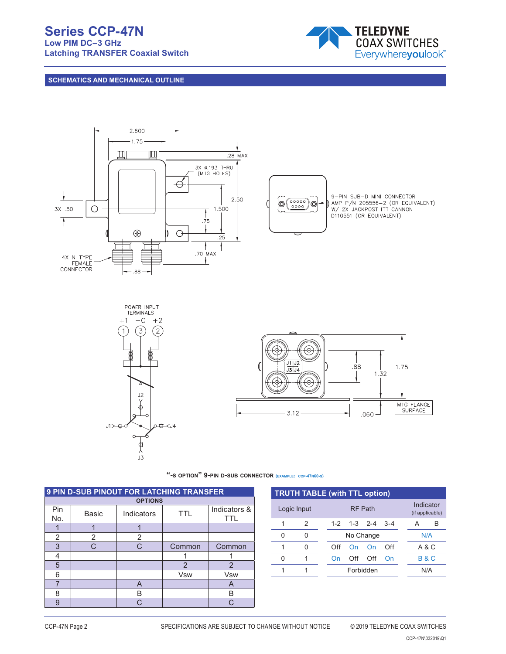# **Series CCP-47N**

**Low PIM DC–3 GHz Latching TRANSFER Coaxial Switch**



## **SCHEMATICS AND MECHANICAL OUTLINE**



**"-s option" 9-pin d-sub connector (example: ccp-47n60-s)**

| <b>9 PIN D-SUB PINOUT FOR LATCHING TRANSFER</b> |              |            |                |                            |  |  |
|-------------------------------------------------|--------------|------------|----------------|----------------------------|--|--|
| <b>OPTIONS</b>                                  |              |            |                |                            |  |  |
| Pin<br>No.                                      | <b>Basic</b> | Indicators | <b>TTL</b>     | Indicators &<br><b>TTL</b> |  |  |
|                                                 |              |            |                |                            |  |  |
| 2                                               | 2            | 2          |                |                            |  |  |
| 3                                               | C.           | C          | Common         | Common                     |  |  |
| 4                                               |              |            |                |                            |  |  |
| 5                                               |              |            | $\overline{2}$ | $\overline{2}$             |  |  |
| 6                                               |              |            | <b>Vsw</b>     | <b>V<sub>sw</sub></b>      |  |  |
| ⇁                                               |              | A          |                | A                          |  |  |
| 8                                               |              | В          |                | B                          |  |  |
| 9                                               |              | C.         |                |                            |  |  |

|   | <b>TRUTH TABLE (with TTL option)</b> |  |                  |     |                   |                              |  |     |                |
|---|--------------------------------------|--|------------------|-----|-------------------|------------------------------|--|-----|----------------|
|   | Logic Input                          |  | <b>RF Path</b>   |     |                   | Indicator<br>(if applicable) |  |     |                |
| 1 | 2                                    |  |                  |     | $1-2$ $1-3$ $2-4$ | $3 - 4$                      |  | А   | В              |
| U | U                                    |  | No Change        |     |                   |                              |  | N/A |                |
| 1 | O                                    |  | Off              | On  | On                | Off                          |  |     | A & C          |
| N |                                      |  | On               | Off | Off               | On                           |  |     | <b>B&amp;C</b> |
|   |                                      |  | Forbidden<br>N/A |     |                   |                              |  |     |                |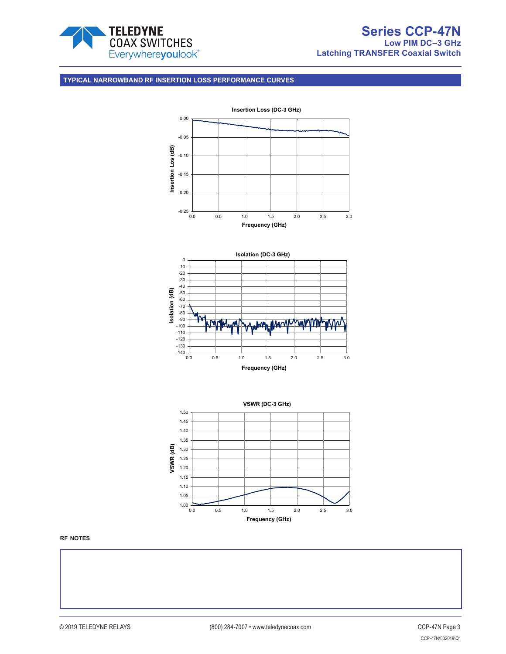

### **TYPICAL NARROWBAND RF INSERTION LOSS PERFORMANCE CURVES**

 $1.00$   $\overline{)}$ <br>0.0



**rf notes**

0.0 0.5 1.0 1.5 2.0 2.5 3.0 **Frequency (GHz)**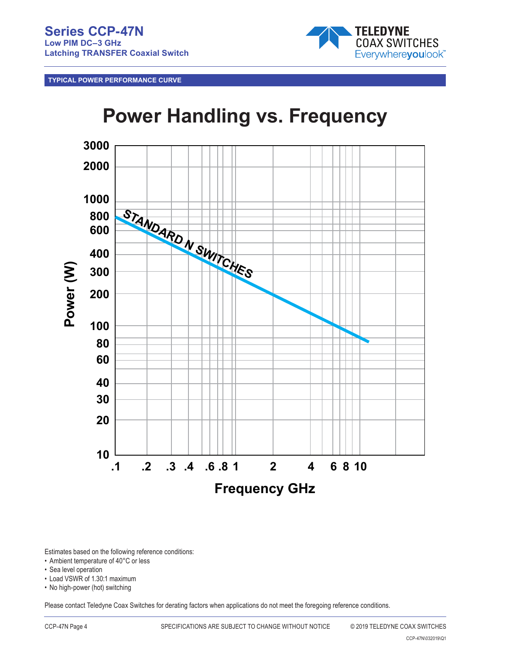**TYPICAL POWER PERFORMANCE CURVE**



# **Power Handling vs. Frequency**



Estimates based on the following reference conditions:

- Ambient temperature of 40°C or less
- Sea level operation
- Load VSWR of 1.30:1 maximum
- No high-power (hot) switching

Please contact Teledyne Coax Switches for derating factors when applications do not meet the foregoing reference conditions.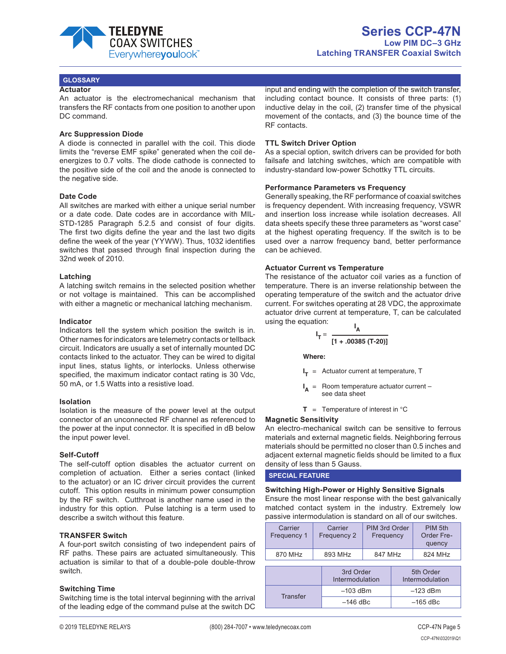

#### **GLOSSARY**

#### **Actuator**

An actuator is the electromechanical mechanism that transfers the RF contacts from one position to another upon DC command.

#### **Arc Suppression Diode**

A diode is connected in parallel with the coil. This diode limits the "reverse EMF spike" generated when the coil deenergizes to 0.7 volts. The diode cathode is connected to the positive side of the coil and the anode is connected to the negative side.

#### **Date Code**

All switches are marked with either a unique serial number or a date code. Date codes are in accordance with MIL-STD-1285 Paragraph 5.2.5 and consist of four digits. The first two digits define the year and the last two digits define the week of the year (YYWW). Thus, 1032 identifies switches that passed through final inspection during the 32nd week of 2010.

#### **Latching**

A latching switch remains in the selected position whether or not voltage is maintained. This can be accomplished with either a magnetic or mechanical latching mechanism.

#### **Indicator**

Indicators tell the system which position the switch is in. Other names for indicators are telemetry contacts or tellback circuit. Indicators are usually a set of internally mounted DC contacts linked to the actuator. They can be wired to digital input lines, status lights, or interlocks. Unless otherwise specified, the maximum indicator contact rating is 30 Vdc, 50 mA, or 1.5 Watts into a resistive load.

#### **Isolation**

Isolation is the measure of the power level at the output connector of an unconnected RF channel as referenced to the power at the input connector. It is specified in dB below the input power level.

#### **Self-Cutoff**

The self-cutoff option disables the actuator current on completion of actuation. Either a series contact (linked to the actuator) or an IC driver circuit provides the current cutoff. This option results in minimum power consumption by the RF switch. Cutthroat is another name used in the industry for this option. Pulse latching is a term used to describe a switch without this feature.

#### **TRANSFER Switch**

A four-port switch consisting of two independent pairs of RF paths. These pairs are actuated simultaneously. This actuation is similar to that of a double-pole double-throw switch.

#### **Switching Time**

Switching time is the total interval beginning with the arrival of the leading edge of the command pulse at the switch DC

input and ending with the completion of the switch transfer, including contact bounce. It consists of three parts: (1) inductive delay in the coil, (2) transfer time of the physical movement of the contacts, and (3) the bounce time of the RF contacts.

#### **TTL Switch Driver Option**

As a special option, switch drivers can be provided for both failsafe and latching switches, which are compatible with industry-standard low-power Schottky TTL circuits.

#### **Performance Parameters vs Frequency**

Generally speaking, the RF performance of coaxial switches is frequency dependent. With increasing frequency, VSWR and insertion loss increase while isolation decreases. All data sheets specify these three parameters as "worst case" at the highest operating frequency. If the switch is to be used over a narrow frequency band, better performance can be achieved.

#### **Actuator Current vs Temperature**

The resistance of the actuator coil varies as a function of temperature. There is an inverse relationship between the operating temperature of the switch and the actuator drive current. For switches operating at 28 VDC, the approximate actuator drive current at temperature, T, can be calculated using the equation:

$$
I_T = \frac{I_A}{[1+.00385 (T-20)]}
$$

**Where:**

- **I <sup>T</sup>** = Actuator current at temperature, T
- **I <sup>A</sup>** = Room temperature actuator current – see data sheet
- $T =$  Temperature of interest in  ${}^{\circ}C$

#### **Magnetic Sensitivity**

An electro-mechanical switch can be sensitive to ferrous materials and external magnetic fields. Neighboring ferrous materials should be permitted no closer than 0.5 inches and adjacent external magnetic fields should be limited to a flux density of less than 5 Gauss.

**SPECIAL FEATURE**

**Switching High-Power or Highly Sensitive Signals** Ensure the most linear response with the best galvanically matched contact system in the industry. Extremely low passive intermodulation is standard on all of our switches.

| Carrier<br>Frequency 1 | Carrier<br>Frequency 2       | PIM 3rd Order<br>Frequency |  | PIM 5th<br>Order Fre-<br>quency |
|------------------------|------------------------------|----------------------------|--|---------------------------------|
| 870 MHz                | 893 MHz                      | 847 MHz                    |  | 824 MHz                         |
|                        | 3rd Order<br>Intermodulation |                            |  | 5th Order<br>Intermodulation    |
| <b>Transfer</b>        |                              | $-103$ dBm                 |  | $-123$ dBm                      |
|                        |                              | $-146$ dBc.                |  | $-165$ dBc                      |